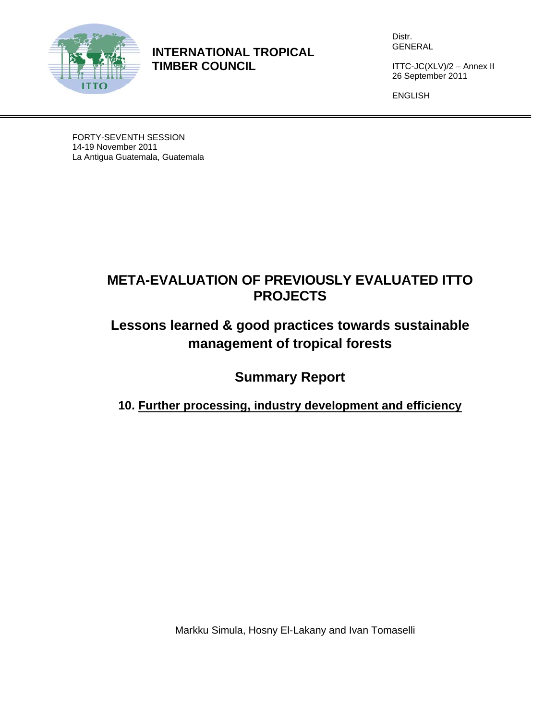

**INTERNATIONAL TROPICAL TIMBER COUNCIL** 

Distr. GENERAL

ITTC-JC(XLV)/2 – Annex II 26 September 2011

ENGLISH

FORTY-SEVENTH SESSION 14-19 November 2011 La Antigua Guatemala, Guatemala

# **META-EVALUATION OF PREVIOUSLY EVALUATED ITTO PROJECTS**

# **Lessons learned & good practices towards sustainable management of tropical forests**

**Summary Report** 

**10. Further processing, industry development and efficiency** 

Markku Simula, Hosny El-Lakany and Ivan Tomaselli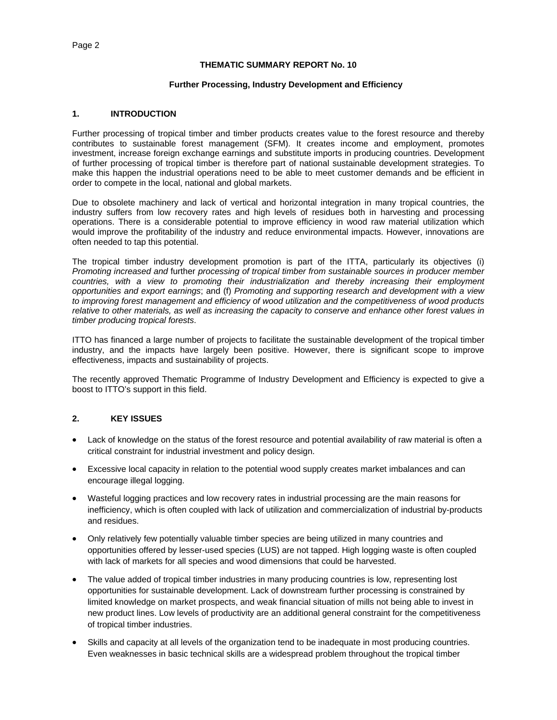#### **THEMATIC SUMMARY REPORT No. 10**

#### **Further Processing, Industry Development and Efficiency**

#### **1. INTRODUCTION**

Further processing of tropical timber and timber products creates value to the forest resource and thereby contributes to sustainable forest management (SFM). It creates income and employment, promotes investment, increase foreign exchange earnings and substitute imports in producing countries. Development of further processing of tropical timber is therefore part of national sustainable development strategies. To make this happen the industrial operations need to be able to meet customer demands and be efficient in order to compete in the local, national and global markets.

Due to obsolete machinery and lack of vertical and horizontal integration in many tropical countries, the industry suffers from low recovery rates and high levels of residues both in harvesting and processing operations. There is a considerable potential to improve efficiency in wood raw material utilization which would improve the profitability of the industry and reduce environmental impacts. However, innovations are often needed to tap this potential.

The tropical timber industry development promotion is part of the ITTA, particularly its objectives (i) *Promoting increased and* further *processing of tropical timber from sustainable sources in producer member countries, with a view to promoting their industrialization and thereby increasing their employment opportunities and export earnings*; and (f) *Promoting and supporting research and development with a view to improving forest management and efficiency of wood utilization and the competitiveness of wood products relative to other materials, as well as increasing the capacity to conserve and enhance other forest values in timber producing tropical forests*.

ITTO has financed a large number of projects to facilitate the sustainable development of the tropical timber industry, and the impacts have largely been positive. However, there is significant scope to improve effectiveness, impacts and sustainability of projects.

The recently approved Thematic Programme of Industry Development and Efficiency is expected to give a boost to ITTO's support in this field.

## **2. KEY ISSUES**

- Lack of knowledge on the status of the forest resource and potential availability of raw material is often a critical constraint for industrial investment and policy design.
- Excessive local capacity in relation to the potential wood supply creates market imbalances and can encourage illegal logging.
- Wasteful logging practices and low recovery rates in industrial processing are the main reasons for inefficiency, which is often coupled with lack of utilization and commercialization of industrial by-products and residues.
- Only relatively few potentially valuable timber species are being utilized in many countries and opportunities offered by lesser-used species (LUS) are not tapped. High logging waste is often coupled with lack of markets for all species and wood dimensions that could be harvested.
- The value added of tropical timber industries in many producing countries is low, representing lost opportunities for sustainable development. Lack of downstream further processing is constrained by limited knowledge on market prospects, and weak financial situation of mills not being able to invest in new product lines. Low levels of productivity are an additional general constraint for the competitiveness of tropical timber industries.
- Skills and capacity at all levels of the organization tend to be inadequate in most producing countries. Even weaknesses in basic technical skills are a widespread problem throughout the tropical timber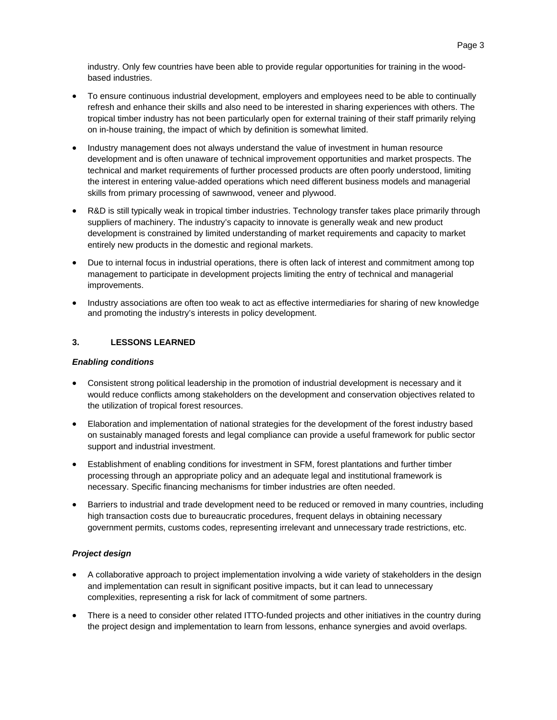industry. Only few countries have been able to provide regular opportunities for training in the woodbased industries.

- To ensure continuous industrial development, employers and employees need to be able to continually refresh and enhance their skills and also need to be interested in sharing experiences with others. The tropical timber industry has not been particularly open for external training of their staff primarily relying on in-house training, the impact of which by definition is somewhat limited.
- Industry management does not always understand the value of investment in human resource development and is often unaware of technical improvement opportunities and market prospects. The technical and market requirements of further processed products are often poorly understood, limiting the interest in entering value-added operations which need different business models and managerial skills from primary processing of sawnwood, veneer and plywood.
- R&D is still typically weak in tropical timber industries. Technology transfer takes place primarily through suppliers of machinery. The industry's capacity to innovate is generally weak and new product development is constrained by limited understanding of market requirements and capacity to market entirely new products in the domestic and regional markets.
- Due to internal focus in industrial operations, there is often lack of interest and commitment among top management to participate in development projects limiting the entry of technical and managerial improvements.
- Industry associations are often too weak to act as effective intermediaries for sharing of new knowledge and promoting the industry's interests in policy development.

# **3. LESSONS LEARNED**

### *Enabling conditions*

- Consistent strong political leadership in the promotion of industrial development is necessary and it would reduce conflicts among stakeholders on the development and conservation objectives related to the utilization of tropical forest resources.
- Elaboration and implementation of national strategies for the development of the forest industry based on sustainably managed forests and legal compliance can provide a useful framework for public sector support and industrial investment.
- Establishment of enabling conditions for investment in SFM, forest plantations and further timber processing through an appropriate policy and an adequate legal and institutional framework is necessary. Specific financing mechanisms for timber industries are often needed.
- Barriers to industrial and trade development need to be reduced or removed in many countries, including high transaction costs due to bureaucratic procedures, frequent delays in obtaining necessary government permits, customs codes, representing irrelevant and unnecessary trade restrictions, etc.

## *Project design*

- A collaborative approach to project implementation involving a wide variety of stakeholders in the design and implementation can result in significant positive impacts, but it can lead to unnecessary complexities, representing a risk for lack of commitment of some partners.
- There is a need to consider other related ITTO-funded projects and other initiatives in the country during the project design and implementation to learn from lessons, enhance synergies and avoid overlaps.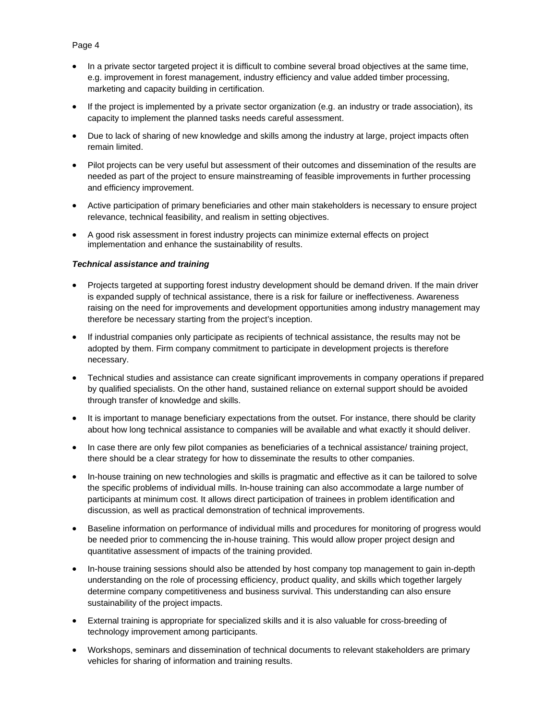- In a private sector targeted project it is difficult to combine several broad objectives at the same time, e.g. improvement in forest management, industry efficiency and value added timber processing, marketing and capacity building in certification.
- If the project is implemented by a private sector organization (e.g. an industry or trade association), its capacity to implement the planned tasks needs careful assessment.
- Due to lack of sharing of new knowledge and skills among the industry at large, project impacts often remain limited.
- Pilot projects can be very useful but assessment of their outcomes and dissemination of the results are needed as part of the project to ensure mainstreaming of feasible improvements in further processing and efficiency improvement.
- Active participation of primary beneficiaries and other main stakeholders is necessary to ensure project relevance, technical feasibility, and realism in setting objectives.
- A good risk assessment in forest industry projects can minimize external effects on project implementation and enhance the sustainability of results.

#### *Technical assistance and training*

- Projects targeted at supporting forest industry development should be demand driven. If the main driver is expanded supply of technical assistance, there is a risk for failure or ineffectiveness. Awareness raising on the need for improvements and development opportunities among industry management may therefore be necessary starting from the project's inception.
- If industrial companies only participate as recipients of technical assistance, the results may not be adopted by them. Firm company commitment to participate in development projects is therefore necessary.
- Technical studies and assistance can create significant improvements in company operations if prepared by qualified specialists. On the other hand, sustained reliance on external support should be avoided through transfer of knowledge and skills.
- It is important to manage beneficiary expectations from the outset. For instance, there should be clarity about how long technical assistance to companies will be available and what exactly it should deliver.
- In case there are only few pilot companies as beneficiaries of a technical assistance/ training project, there should be a clear strategy for how to disseminate the results to other companies.
- In-house training on new technologies and skills is pragmatic and effective as it can be tailored to solve the specific problems of individual mills. In-house training can also accommodate a large number of participants at minimum cost. It allows direct participation of trainees in problem identification and discussion, as well as practical demonstration of technical improvements.
- Baseline information on performance of individual mills and procedures for monitoring of progress would be needed prior to commencing the in-house training. This would allow proper project design and quantitative assessment of impacts of the training provided.
- In-house training sessions should also be attended by host company top management to gain in-depth understanding on the role of processing efficiency, product quality, and skills which together largely determine company competitiveness and business survival. This understanding can also ensure sustainability of the project impacts.
- External training is appropriate for specialized skills and it is also valuable for cross-breeding of technology improvement among participants.
- Workshops, seminars and dissemination of technical documents to relevant stakeholders are primary vehicles for sharing of information and training results.

## Page 4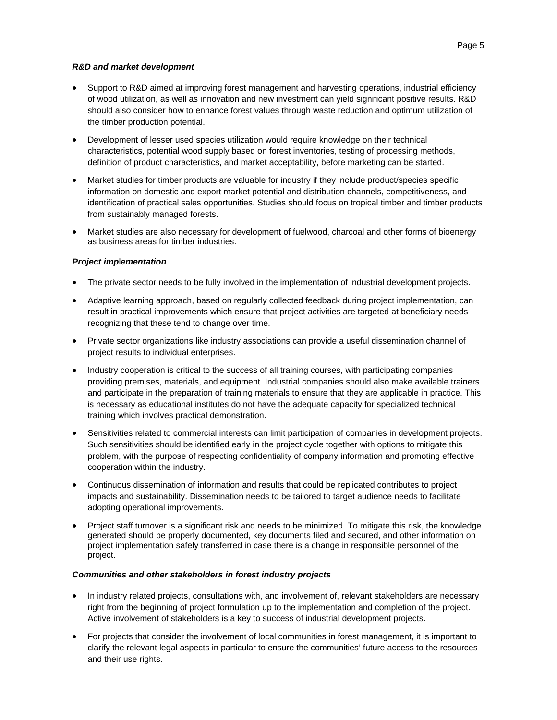#### *R&D and market development*

- Support to R&D aimed at improving forest management and harvesting operations, industrial efficiency of wood utilization, as well as innovation and new investment can yield significant positive results. R&D should also consider how to enhance forest values through waste reduction and optimum utilization of the timber production potential.
- Development of lesser used species utilization would require knowledge on their technical characteristics, potential wood supply based on forest inventories, testing of processing methods, definition of product characteristics, and market acceptability, before marketing can be started.
- Market studies for timber products are valuable for industry if they include product/species specific information on domestic and export market potential and distribution channels, competitiveness, and identification of practical sales opportunities. Studies should focus on tropical timber and timber products from sustainably managed forests.
- Market studies are also necessary for development of fuelwood, charcoal and other forms of bioenergy as business areas for timber industries.

## *Project imp*l*ementation*

- The private sector needs to be fully involved in the implementation of industrial development projects.
- Adaptive learning approach, based on regularly collected feedback during project implementation, can result in practical improvements which ensure that project activities are targeted at beneficiary needs recognizing that these tend to change over time.
- Private sector organizations like industry associations can provide a useful dissemination channel of project results to individual enterprises.
- Industry cooperation is critical to the success of all training courses, with participating companies providing premises, materials, and equipment. Industrial companies should also make available trainers and participate in the preparation of training materials to ensure that they are applicable in practice. This is necessary as educational institutes do not have the adequate capacity for specialized technical training which involves practical demonstration.
- Sensitivities related to commercial interests can limit participation of companies in development projects. Such sensitivities should be identified early in the project cycle together with options to mitigate this problem, with the purpose of respecting confidentiality of company information and promoting effective cooperation within the industry.
- Continuous dissemination of information and results that could be replicated contributes to project impacts and sustainability. Dissemination needs to be tailored to target audience needs to facilitate adopting operational improvements.
- Project staff turnover is a significant risk and needs to be minimized. To mitigate this risk, the knowledge generated should be properly documented, key documents filed and secured, and other information on project implementation safely transferred in case there is a change in responsible personnel of the project.

#### *Communities and other stakeholders in forest industry projects*

- In industry related projects, consultations with, and involvement of, relevant stakeholders are necessary right from the beginning of project formulation up to the implementation and completion of the project. Active involvement of stakeholders is a key to success of industrial development projects.
- For projects that consider the involvement of local communities in forest management, it is important to clarify the relevant legal aspects in particular to ensure the communities' future access to the resources and their use rights.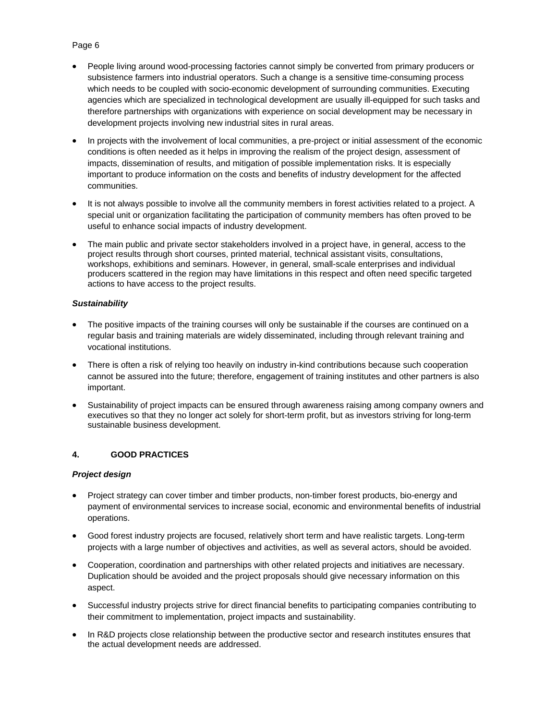# People living around wood-processing factories cannot simply be converted from primary producers or subsistence farmers into industrial operators. Such a change is a sensitive time-consuming process which needs to be coupled with socio-economic development of surrounding communities. Executing agencies which are specialized in technological development are usually ill-equipped for such tasks and therefore partnerships with organizations with experience on social development may be necessary in development projects involving new industrial sites in rural areas.

- In projects with the involvement of local communities, a pre-project or initial assessment of the economic conditions is often needed as it helps in improving the realism of the project design, assessment of impacts, dissemination of results, and mitigation of possible implementation risks. It is especially important to produce information on the costs and benefits of industry development for the affected communities.
- It is not always possible to involve all the community members in forest activities related to a project. A special unit or organization facilitating the participation of community members has often proved to be useful to enhance social impacts of industry development.
- The main public and private sector stakeholders involved in a project have, in general, access to the project results through short courses, printed material, technical assistant visits, consultations, workshops, exhibitions and seminars. However, in general, small-scale enterprises and individual producers scattered in the region may have limitations in this respect and often need specific targeted actions to have access to the project results.

# *Sustainability*

- The positive impacts of the training courses will only be sustainable if the courses are continued on a regular basis and training materials are widely disseminated, including through relevant training and vocational institutions.
- There is often a risk of relying too heavily on industry in-kind contributions because such cooperation cannot be assured into the future; therefore, engagement of training institutes and other partners is also important.
- Sustainability of project impacts can be ensured through awareness raising among company owners and executives so that they no longer act solely for short-term profit, but as investors striving for long-term sustainable business development.

# **4. GOOD PRACTICES**

## *Project design*

- Project strategy can cover timber and timber products, non-timber forest products, bio-energy and payment of environmental services to increase social, economic and environmental benefits of industrial operations.
- Good forest industry projects are focused, relatively short term and have realistic targets. Long-term projects with a large number of objectives and activities, as well as several actors, should be avoided.
- Cooperation, coordination and partnerships with other related projects and initiatives are necessary. Duplication should be avoided and the project proposals should give necessary information on this aspect.
- Successful industry projects strive for direct financial benefits to participating companies contributing to their commitment to implementation, project impacts and sustainability.
- In R&D projects close relationship between the productive sector and research institutes ensures that the actual development needs are addressed.

# Page 6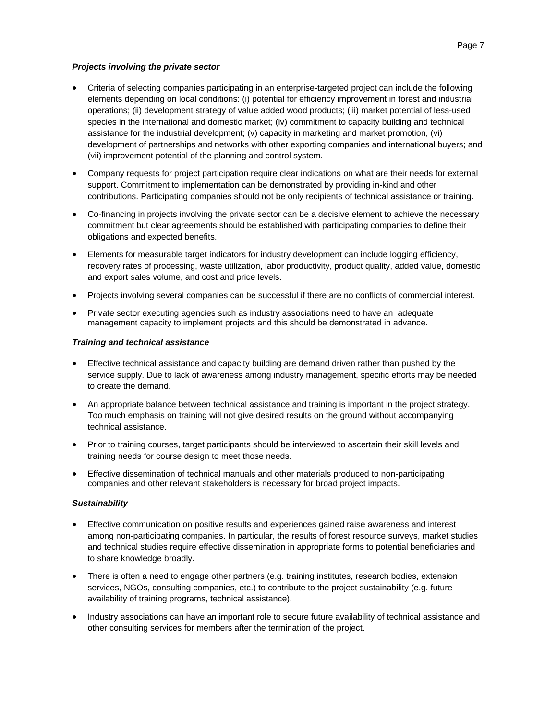### *Projects involving the private sector*

- Criteria of selecting companies participating in an enterprise-targeted project can include the following elements depending on local conditions: (i) potential for efficiency improvement in forest and industrial operations; (ii) development strategy of value added wood products; (iii) market potential of less-used species in the international and domestic market; (iv) commitment to capacity building and technical assistance for the industrial development; (v) capacity in marketing and market promotion, (vi) development of partnerships and networks with other exporting companies and international buyers; and (vii) improvement potential of the planning and control system.
- Company requests for project participation require clear indications on what are their needs for external support. Commitment to implementation can be demonstrated by providing in-kind and other contributions. Participating companies should not be only recipients of technical assistance or training.
- Co-financing in projects involving the private sector can be a decisive element to achieve the necessary commitment but clear agreements should be established with participating companies to define their obligations and expected benefits.
- Elements for measurable target indicators for industry development can include logging efficiency, recovery rates of processing, waste utilization, labor productivity, product quality, added value, domestic and export sales volume, and cost and price levels.
- Projects involving several companies can be successful if there are no conflicts of commercial interest.
- Private sector executing agencies such as industry associations need to have an adequate management capacity to implement projects and this should be demonstrated in advance.

#### *Training and technical assistance*

- Effective technical assistance and capacity building are demand driven rather than pushed by the service supply. Due to lack of awareness among industry management, specific efforts may be needed to create the demand.
- An appropriate balance between technical assistance and training is important in the project strategy. Too much emphasis on training will not give desired results on the ground without accompanying technical assistance.
- Prior to training courses, target participants should be interviewed to ascertain their skill levels and training needs for course design to meet those needs.
- Effective dissemination of technical manuals and other materials produced to non-participating companies and other relevant stakeholders is necessary for broad project impacts.

## *Sustainability*

- Effective communication on positive results and experiences gained raise awareness and interest among non-participating companies. In particular, the results of forest resource surveys, market studies and technical studies require effective dissemination in appropriate forms to potential beneficiaries and to share knowledge broadly.
- There is often a need to engage other partners (e.g. training institutes, research bodies, extension services, NGOs, consulting companies, etc.) to contribute to the project sustainability (e.g. future availability of training programs, technical assistance).
- Industry associations can have an important role to secure future availability of technical assistance and other consulting services for members after the termination of the project.